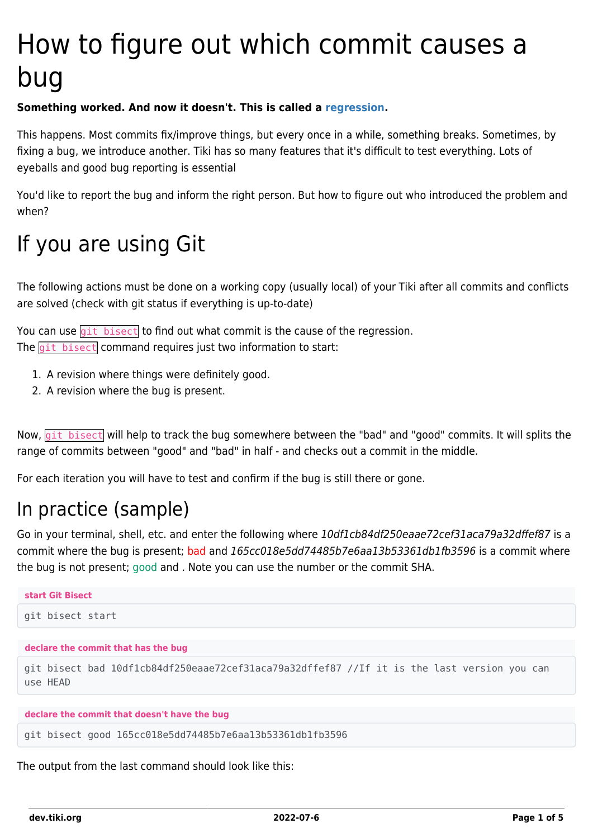# How to figure out which commit causes a bug

#### **Something worked. And now it doesn't. This is called a [regression](https://dev.tiki.org/regression).**

This happens. Most commits fix/improve things, but every once in a while, something breaks. Sometimes, by fixing a bug, we introduce another. Tiki has so many features that it's difficult to test everything. Lots of eyeballs and good bug reporting is essential

You'd like to report the bug and inform the right person. But how to figure out who introduced the problem and when?

### If you are using Git

The following actions must be done on a working copy (usually local) of your Tiki after all commits and conflicts are solved (check with git status if everything is up-to-date)

You can use  $\left| \frac{q_i}{r_i} \right|$  bisect to find out what commit is the cause of the regression. The git bisect command requires just two information to start:

- 1. A revision where things were definitely good.
- 2. A revision where the bug is present.

Now, git bisect will help to track the bug somewhere between the "bad" and "good" commits. It will splits the range of commits between "good" and "bad" in half - and checks out a commit in the middle.

For each iteration you will have to test and confirm if the bug is still there or gone.

### In practice (sample)

Go in your terminal, shell, etc. and enter the following where 10df1cb84df250eaae72cef31aca79a32dffef87 is a commit where the bug is present; bad and 165cc018e5dd74485b7e6aa13b53361db1fb3596 is a commit where the bug is not present; good and . Note you can use the number or the commit SHA.

| start Git Bisect                                                                                        |
|---------------------------------------------------------------------------------------------------------|
| git bisect start                                                                                        |
| declare the commit that has the bug                                                                     |
| git bisect bad 10df1cb84df250eaae72cef31aca79a32dffef87 //If it is the last version you can<br>use HFAD |

**declare the commit that doesn't have the bug**

git bisect good 165cc018e5dd74485b7e6aa13b53361db1fb3596

The output from the last command should look like this: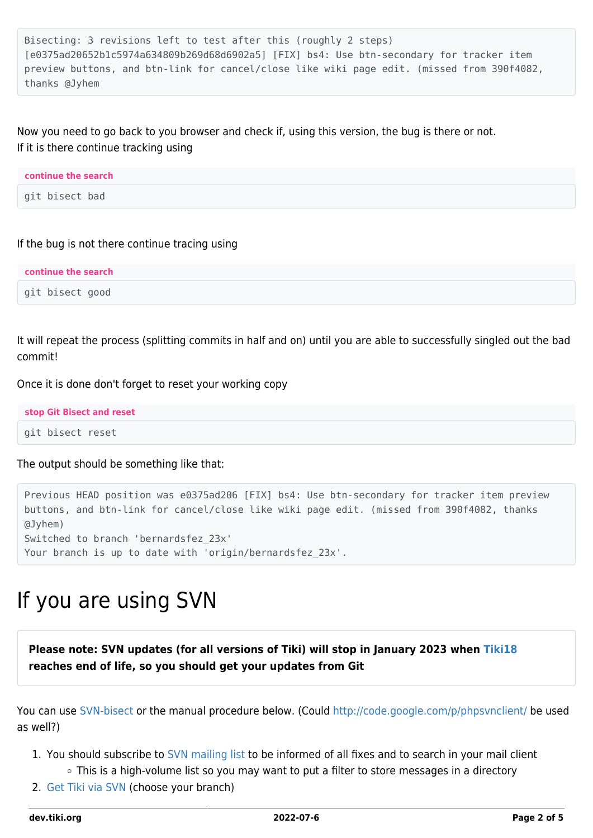```
Bisecting: 3 revisions left to test after this (roughly 2 steps)
[e0375ad20652b1c5974a634809b269d68d6902a5] [FIX] bs4: Use btn-secondary for tracker item
preview buttons, and btn-link for cancel/close like wiki page edit. (missed from 390f4082,
thanks @Jyhem
```
#### Now you need to go back to you browser and check if, using this version, the bug is there or not. If it is there continue tracking using

| continue the search |  |
|---------------------|--|
| git bisect bad      |  |

If the bug is not there continue tracing using

| continue the search |  |
|---------------------|--|
| git bisect good     |  |

It will repeat the process (splitting commits in half and on) until you are able to successfully singled out the bad commit!

Once it is done don't forget to reset your working copy

**stop Git Bisect and reset** git bisect reset

The output should be something like that:

Previous HEAD position was e0375ad206 [FIX] bs4: Use btn-secondary for tracker item preview buttons, and btn-link for cancel/close like wiki page edit. (missed from 390f4082, thanks @Jyhem) Switched to branch 'bernardsfez\_23x' Your branch is up to date with 'origin/bernardsfez\_23x'.

### If you are using SVN

**Please note: SVN updates (for all versions of Tiki) will stop in January 2023 when [Tiki18](http://doc.tiki.org/Tiki18) reaches end of life, so you should get your updates from Git**

You can use [SVN-bisect](https://github.com/Infinoid/svn-bisect/) or the manual procedure below. (Could<http://code.google.com/p/phpsvnclient/> be used as well?)

- 1. You should subscribe to [SVN mailing list](https://dev.tiki.org/SVN-Mailing-List) to be informed of all fixes and to search in your mail client
	- This is a high-volume list so you may want to put a filter to store messages in a directory
- 2. [Get Tiki via SVN](https://dev.tiki.org/Get-code) (choose your branch)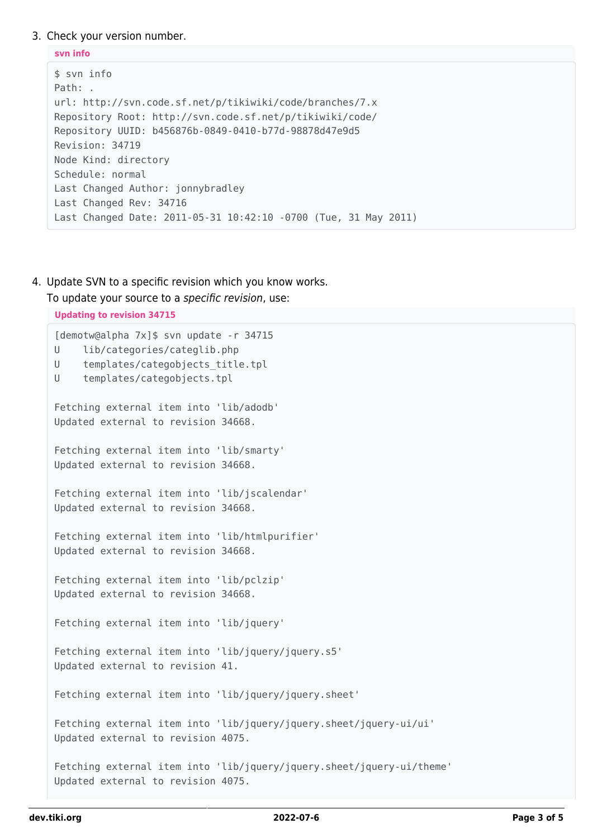#### 3. Check your version number.

```
svn info
$ svn info
Path: .
url: http://svn.code.sf.net/p/tikiwiki/code/branches/7.x
Repository Root: http://svn.code.sf.net/p/tikiwiki/code/
Repository UUID: b456876b-0849-0410-b77d-98878d47e9d5
Revision: 34719
Node Kind: directory
Schedule: normal
Last Changed Author: jonnybradley
Last Changed Rev: 34716
Last Changed Date: 2011-05-31 10:42:10 -0700 (Tue, 31 May 2011)
```
4. Update SVN to a specific revision which you know works.

To update your source to a specific revision, use:

```
Updating to revision 34715
[demotw@alpha 7x]$ svn update -r 34715
U lib/categories/categlib.php
U templates/categobjects title.tpl
U templates/categobjects.tpl
Fetching external item into 'lib/adodb'
Updated external to revision 34668.
Fetching external item into 'lib/smarty'
Updated external to revision 34668.
Fetching external item into 'lib/jscalendar'
Updated external to revision 34668.
Fetching external item into 'lib/htmlpurifier'
Updated external to revision 34668.
Fetching external item into 'lib/pclzip'
Updated external to revision 34668.
Fetching external item into 'lib/jquery'
Fetching external item into 'lib/jquery/jquery.s5'
Updated external to revision 41.
Fetching external item into 'lib/jquery/jquery.sheet'
Fetching external item into 'lib/jquery/jquery.sheet/jquery-ui/ui'
Updated external to revision 4075.
Fetching external item into 'lib/jquery/jquery.sheet/jquery-ui/theme'
Updated external to revision 4075.
```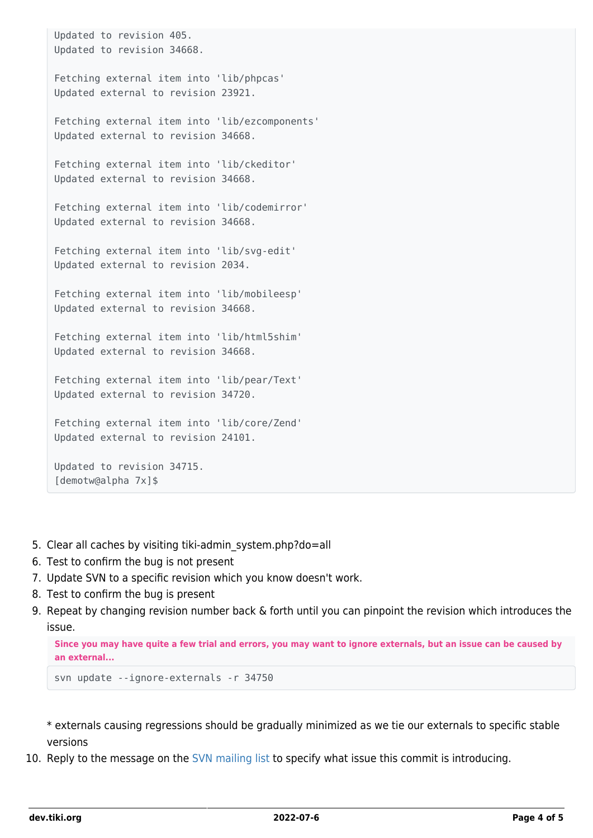```
Updated to revision 405.
Updated to revision 34668.
Fetching external item into 'lib/phpcas'
Updated external to revision 23921.
Fetching external item into 'lib/ezcomponents'
Updated external to revision 34668.
Fetching external item into 'lib/ckeditor'
Updated external to revision 34668.
Fetching external item into 'lib/codemirror'
Updated external to revision 34668.
Fetching external item into 'lib/svg-edit'
Updated external to revision 2034.
Fetching external item into 'lib/mobileesp'
Updated external to revision 34668.
Fetching external item into 'lib/html5shim'
Updated external to revision 34668.
Fetching external item into 'lib/pear/Text'
Updated external to revision 34720.
Fetching external item into 'lib/core/Zend'
Updated external to revision 24101.
Updated to revision 34715.
[demotw@alpha 7x]$
```
- 5. Clear all caches by visiting tiki-admin\_system.php?do=all
- 6. Test to confirm the bug is not present
- 7. Update SVN to a specific revision which you know doesn't work.
- 8. Test to confirm the bug is present
- 9. Repeat by changing revision number back & forth until you can pinpoint the revision which introduces the issue.

**Since you may have quite a few trial and errors, you may want to ignore externals, but an issue can be caused by an external...**

```
svn update --ignore-externals -r 34750
```
\* externals causing regressions should be gradually minimized as we tie our externals to specific stable versions

10. Reply to the message on the [SVN mailing list](https://dev.tiki.org/SVN-Mailing-List) to specify what issue this commit is introducing.